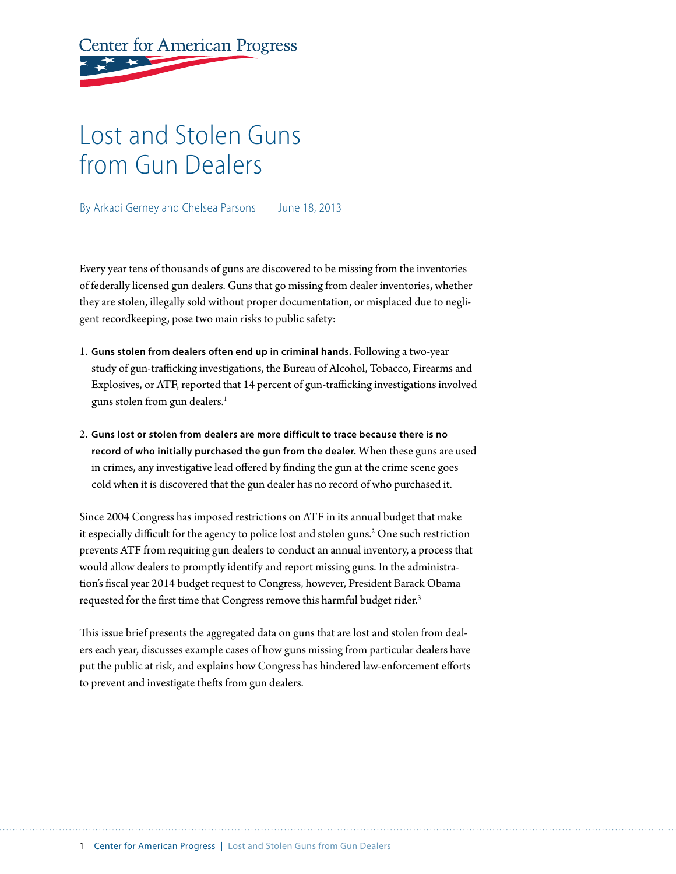**Center for American Progress** 

# Lost and Stolen Guns from Gun Dealers

By Arkadi Gerney and Chelsea Parsons June 18, 2013

Every year tens of thousands of guns are discovered to be missing from the inventories of federally licensed gun dealers. Guns that go missing from dealer inventories, whether they are stolen, illegally sold without proper documentation, or misplaced due to negligent recordkeeping, pose two main risks to public safety:

- 1. **Guns stolen from dealers often end up in criminal hands.** Following a two-year study of gun-trafficking investigations, the Bureau of Alcohol, Tobacco, Firearms and Explosives, or ATF, reported that 14 percent of gun-trafficking investigations involved guns stolen from gun dealers.<sup>1</sup>
- 2. **Guns lost or stolen from dealers are more difficult to trace because there is no record of who initially purchased the gun from the dealer.** When these guns are used in crimes, any investigative lead offered by finding the gun at the crime scene goes cold when it is discovered that the gun dealer has no record of who purchased it.

Since 2004 Congress has imposed restrictions on ATF in its annual budget that make it especially difficult for the agency to police lost and stolen guns.<sup>2</sup> One such restriction prevents ATF from requiring gun dealers to conduct an annual inventory, a process that would allow dealers to promptly identify and report missing guns. In the administration's fiscal year 2014 budget request to Congress, however, President Barack Obama requested for the first time that Congress remove this harmful budget rider.<sup>3</sup>

This issue brief presents the aggregated data on guns that are lost and stolen from dealers each year, discusses example cases of how guns missing from particular dealers have put the public at risk, and explains how Congress has hindered law-enforcement efforts to prevent and investigate thefts from gun dealers.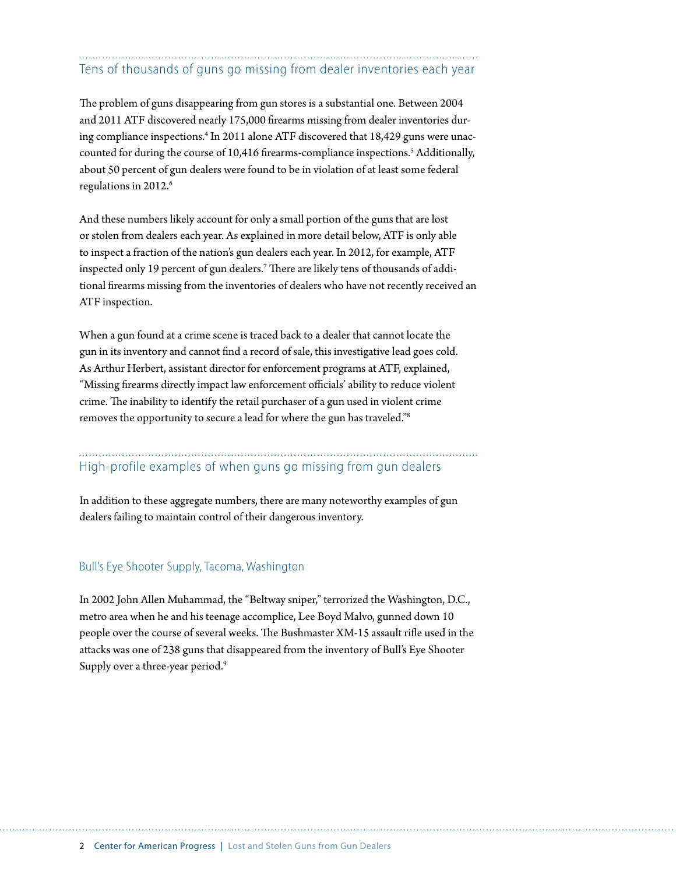# Tens of thousands of guns go missing from dealer inventories each year

The problem of guns disappearing from gun stores is a substantial one. Between 2004 and 2011 ATF discovered nearly 175,000 firearms missing from dealer inventories during compliance inspections.<sup>4</sup> In 2011 alone ATF discovered that 18,429 guns were unaccounted for during the course of 10,416 firearms-compliance inspections.<sup>5</sup> Additionally, about 50 percent of gun dealers were found to be in violation of at least some federal regulations in 2012.<sup>6</sup>

And these numbers likely account for only a small portion of the guns that are lost or stolen from dealers each year. As explained in more detail below, ATF is only able to inspect a fraction of the nation's gun dealers each year. In 2012, for example, ATF inspected only 19 percent of gun dealers. $^7$  There are likely tens of thousands of additional firearms missing from the inventories of dealers who have not recently received an ATF inspection.

When a gun found at a crime scene is traced back to a dealer that cannot locate the gun in its inventory and cannot find a record of sale, this investigative lead goes cold. As Arthur Herbert, assistant director for enforcement programs at ATF, explained, "Missing firearms directly impact law enforcement officials' ability to reduce violent crime. The inability to identify the retail purchaser of a gun used in violent crime removes the opportunity to secure a lead for where the gun has traveled."8

High-profile examples of when guns go missing from gun dealers

In addition to these aggregate numbers, there are many noteworthy examples of gun dealers failing to maintain control of their dangerous inventory.

#### Bull's Eye Shooter Supply, Tacoma, Washington

In 2002 John Allen Muhammad, the "Beltway sniper," terrorized the Washington, D.C., metro area when he and his teenage accomplice, Lee Boyd Malvo, gunned down 10 people over the course of several weeks. The Bushmaster XM-15 assault rifle used in the attacks was one of 238 guns that disappeared from the inventory of Bull's Eye Shooter Supply over a three-year period.<sup>9</sup>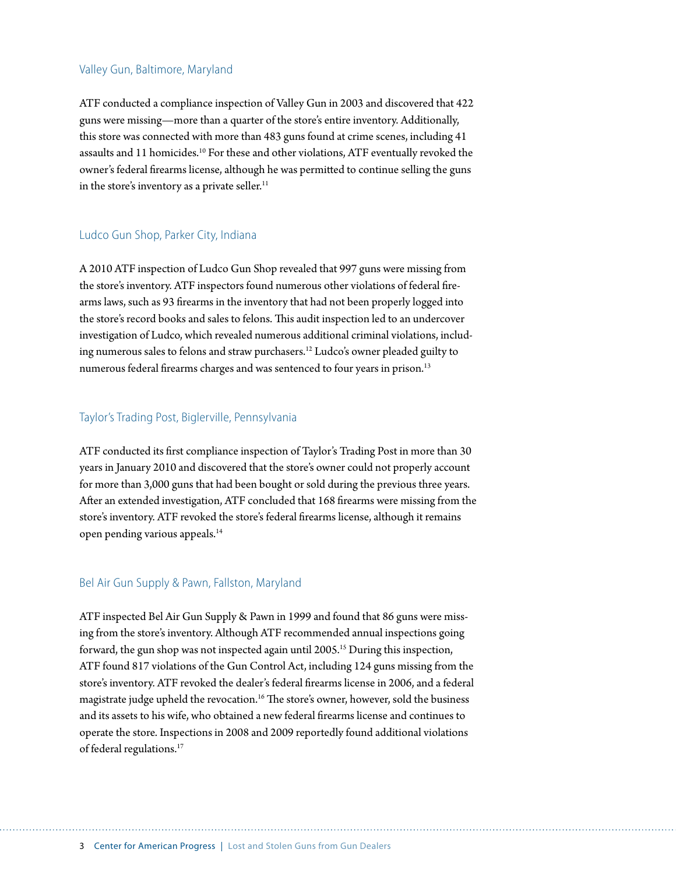#### Valley Gun, Baltimore, Maryland

ATF conducted a compliance inspection of Valley Gun in 2003 and discovered that 422 guns were missing—more than a quarter of the store's entire inventory. Additionally, this store was connected with more than 483 guns found at crime scenes, including 41 assaults and 11 homicides.10 For these and other violations, ATF eventually revoked the owner's federal firearms license, although he was permitted to continue selling the guns in the store's inventory as a private seller.<sup>11</sup>

#### Ludco Gun Shop, Parker City, Indiana

A 2010 ATF inspection of Ludco Gun Shop revealed that 997 guns were missing from the store's inventory. ATF inspectors found numerous other violations of federal firearms laws, such as 93 firearms in the inventory that had not been properly logged into the store's record books and sales to felons. This audit inspection led to an undercover investigation of Ludco, which revealed numerous additional criminal violations, including numerous sales to felons and straw purchasers.12 Ludco's owner pleaded guilty to numerous federal firearms charges and was sentenced to four years in prison.<sup>13</sup>

#### Taylor's Trading Post, Biglerville, Pennsylvania

ATF conducted its first compliance inspection of Taylor's Trading Post in more than 30 years in January 2010 and discovered that the store's owner could not properly account for more than 3,000 guns that had been bought or sold during the previous three years. After an extended investigation, ATF concluded that 168 firearms were missing from the store's inventory. ATF revoked the store's federal firearms license, although it remains open pending various appeals.14

#### Bel Air Gun Supply & Pawn, Fallston, Maryland

ATF inspected Bel Air Gun Supply & Pawn in 1999 and found that 86 guns were missing from the store's inventory. Although ATF recommended annual inspections going forward, the gun shop was not inspected again until 2005.<sup>15</sup> During this inspection, ATF found 817 violations of the Gun Control Act, including 124 guns missing from the store's inventory. ATF revoked the dealer's federal firearms license in 2006, and a federal magistrate judge upheld the revocation.<sup>16</sup> The store's owner, however, sold the business and its assets to his wife, who obtained a new federal firearms license and continues to operate the store. Inspections in 2008 and 2009 reportedly found additional violations of federal regulations.17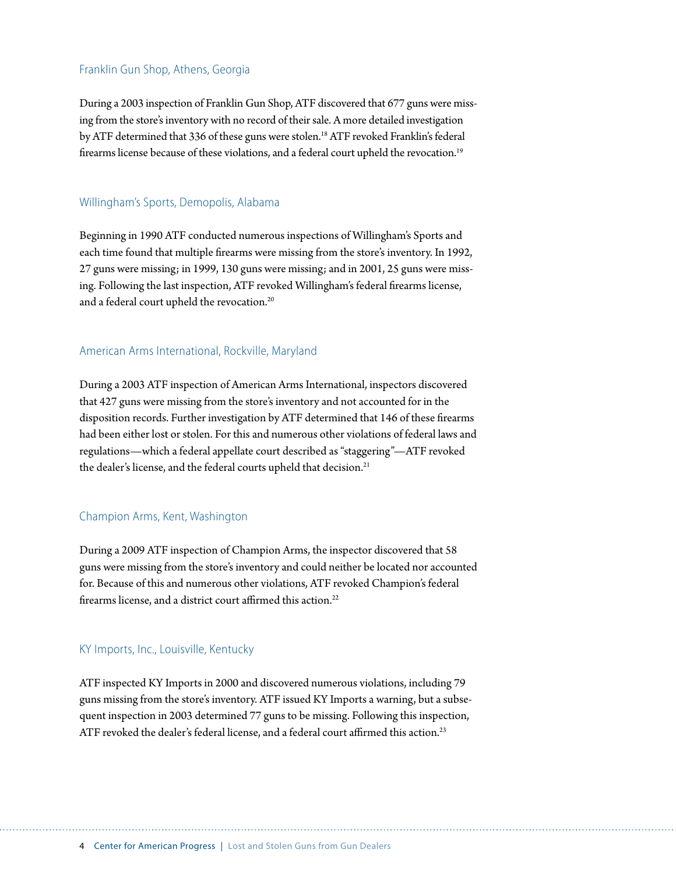#### Franklin Gun Shop, Athens, Georgia

During a 2003 inspection of Franklin Gun Shop, ATF discovered that 677 guns were missing from the store's inventory with no record of their sale. A more detailed investigation by ATF determined that 336 of these guns were stolen.<sup>18</sup> ATF revoked Franklin's federal firearms license because of these violations, and a federal court upheld the revocation.<sup>19</sup>

#### Willingham's Sports, Demopolis, Alabama

Beginning in 1990 ATF conducted numerous inspections of Willingham's Sports and each time found that multiple firearms were missing from the store's inventory. In 1992, 27 guns were missing; in 1999, 130 guns were missing; and in 2001, 25 guns were missing. Following the last inspection, ATF revoked Willingham's federal firearms license, and a federal court upheld the revocation.20

#### American Arms International, Rockville, Maryland

During a 2003 ATF inspection of American Arms International, inspectors discovered that 427 guns were missing from the store's inventory and not accounted for in the disposition records. Further investigation by ATF determined that 146 of these firearms had been either lost or stolen. For this and numerous other violations of federal laws and regulations—which a federal appellate court described as "staggering"—ATF revoked the dealer's license, and the federal courts upheld that decision.<sup>21</sup>

#### Champion Arms, Kent, Washington

During a 2009 ATF inspection of Champion Arms, the inspector discovered that 58 guns were missing from the store's inventory and could neither be located nor accounted for. Because of this and numerous other violations, ATF revoked Champion's federal firearms license, and a district court affirmed this action.<sup>22</sup>

#### KY Imports, Inc., Louisville, Kentucky

ATF inspected KY Imports in 2000 and discovered numerous violations, including 79 guns missing from the store's inventory. ATF issued KY Imports a warning, but a subsequent inspection in 2003 determined 77 guns to be missing. Following this inspection, ATF revoked the dealer's federal license, and a federal court affirmed this action.<sup>23</sup>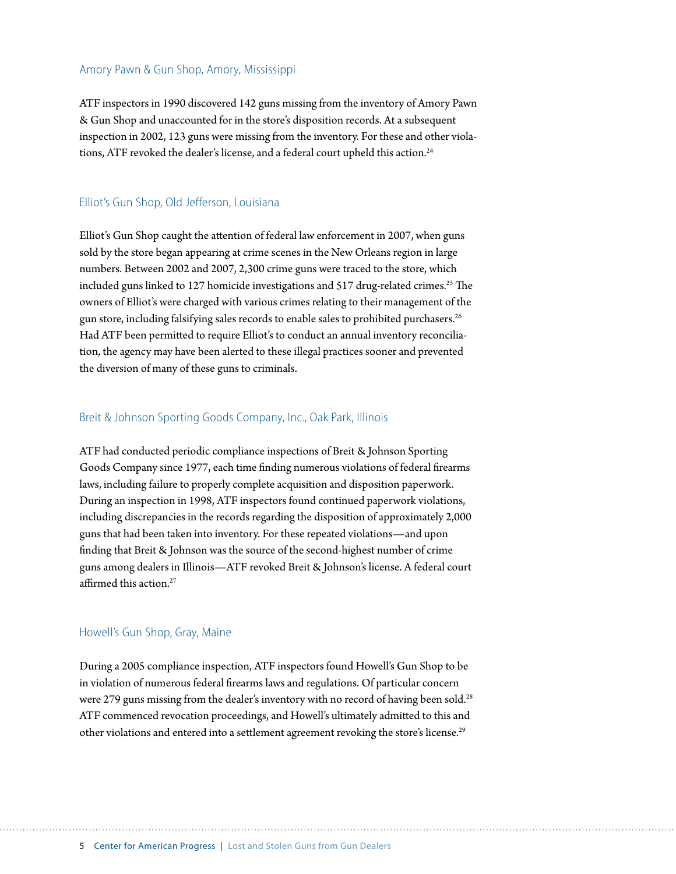#### Amory Pawn & Gun Shop, Amory, Mississippi

ATF inspectors in 1990 discovered 142 guns missing from the inventory of Amory Pawn & Gun Shop and unaccounted for in the store's disposition records. At a subsequent inspection in 2002, 123 guns were missing from the inventory. For these and other violations, ATF revoked the dealer's license, and a federal court upheld this action.<sup>24</sup>

#### Elliot's Gun Shop, Old Jefferson, Louisiana

Elliot's Gun Shop caught the attention of federal law enforcement in 2007, when guns sold by the store began appearing at crime scenes in the New Orleans region in large numbers. Between 2002 and 2007, 2,300 crime guns were traced to the store, which included guns linked to 127 homicide investigations and 517 drug-related crimes.<sup>25</sup> The owners of Elliot's were charged with various crimes relating to their management of the gun store, including falsifying sales records to enable sales to prohibited purchasers.<sup>26</sup> Had ATF been permitted to require Elliot's to conduct an annual inventory reconciliation, the agency may have been alerted to these illegal practices sooner and prevented the diversion of many of these guns to criminals.

#### Breit & Johnson Sporting Goods Company, Inc., Oak Park, Illinois

ATF had conducted periodic compliance inspections of Breit & Johnson Sporting Goods Company since 1977, each time finding numerous violations of federal firearms laws, including failure to properly complete acquisition and disposition paperwork. During an inspection in 1998, ATF inspectors found continued paperwork violations, including discrepancies in the records regarding the disposition of approximately 2,000 guns that had been taken into inventory. For these repeated violations—and upon finding that Breit & Johnson was the source of the second-highest number of crime guns among dealers in Illinois—ATF revoked Breit & Johnson's license. A federal court affirmed this action.<sup>27</sup>

#### Howell's Gun Shop, Gray, Maine

During a 2005 compliance inspection, ATF inspectors found Howell's Gun Shop to be in violation of numerous federal firearms laws and regulations. Of particular concern were 279 guns missing from the dealer's inventory with no record of having been sold.<sup>28</sup> ATF commenced revocation proceedings, and Howell's ultimately admitted to this and other violations and entered into a settlement agreement revoking the store's license.<sup>29</sup>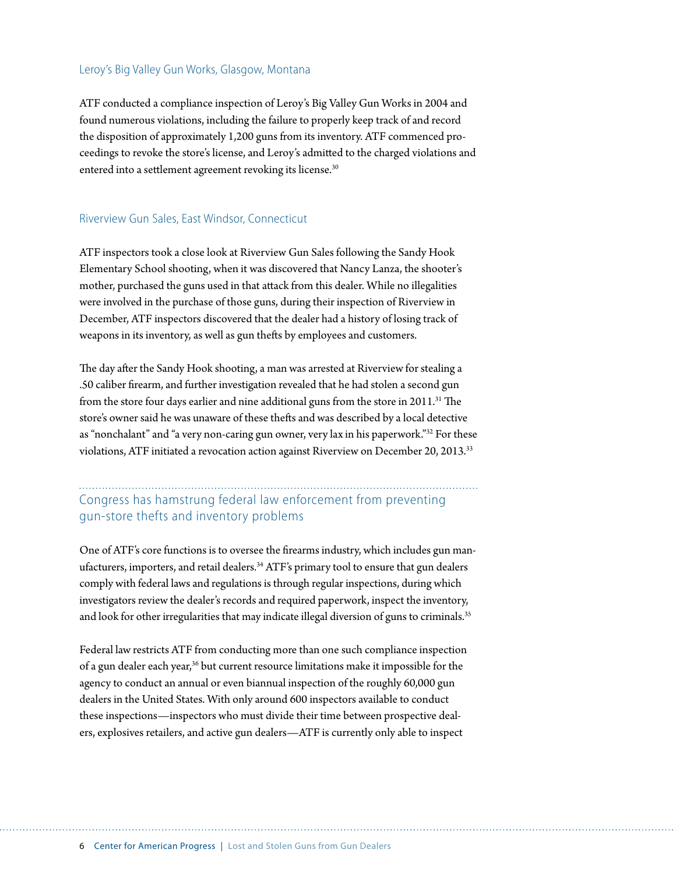#### Leroy's Big Valley Gun Works, Glasgow, Montana

ATF conducted a compliance inspection of Leroy's Big Valley Gun Works in 2004 and found numerous violations, including the failure to properly keep track of and record the disposition of approximately 1,200 guns from its inventory. ATF commenced proceedings to revoke the store's license, and Leroy's admitted to the charged violations and entered into a settlement agreement revoking its license.<sup>30</sup>

#### Riverview Gun Sales, East Windsor, Connecticut

ATF inspectors took a close look at Riverview Gun Sales following the Sandy Hook Elementary School shooting, when it was discovered that Nancy Lanza, the shooter's mother, purchased the guns used in that attack from this dealer. While no illegalities were involved in the purchase of those guns, during their inspection of Riverview in December, ATF inspectors discovered that the dealer had a history of losing track of weapons in its inventory, as well as gun thefts by employees and customers.

The day after the Sandy Hook shooting, a man was arrested at Riverview for stealing a .50 caliber firearm, and further investigation revealed that he had stolen a second gun from the store four days earlier and nine additional guns from the store in 2011.<sup>31</sup> The store's owner said he was unaware of these thefts and was described by a local detective as "nonchalant" and "a very non-caring gun owner, very lax in his paperwork."32 For these violations, ATF initiated a revocation action against Riverview on December 20, 2013.<sup>33</sup>

## Congress has hamstrung federal law enforcement from preventing gun-store thefts and inventory problems

One of ATF's core functions is to oversee the firearms industry, which includes gun manufacturers, importers, and retail dealers.<sup>34</sup> ATF's primary tool to ensure that gun dealers comply with federal laws and regulations is through regular inspections, during which investigators review the dealer's records and required paperwork, inspect the inventory, and look for other irregularities that may indicate illegal diversion of guns to criminals.<sup>35</sup>

Federal law restricts ATF from conducting more than one such compliance inspection of a gun dealer each year,<sup>36</sup> but current resource limitations make it impossible for the agency to conduct an annual or even biannual inspection of the roughly 60,000 gun dealers in the United States. With only around 600 inspectors available to conduct these inspections—inspectors who must divide their time between prospective dealers, explosives retailers, and active gun dealers—ATF is currently only able to inspect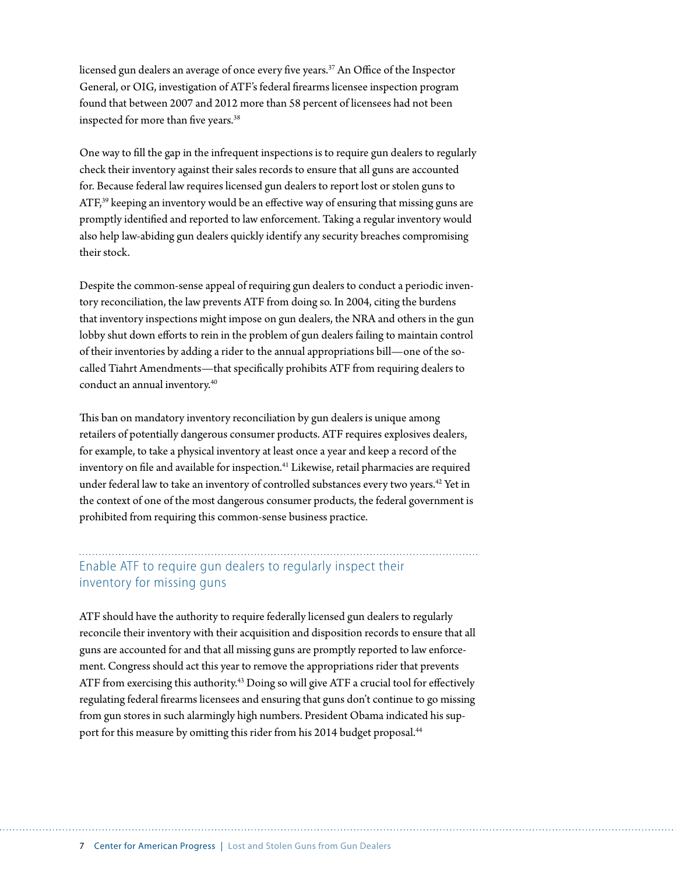licensed gun dealers an average of once every five years.<sup>37</sup> An Office of the Inspector General, or OIG, investigation of ATF's federal firearms licensee inspection program found that between 2007 and 2012 more than 58 percent of licensees had not been inspected for more than five years.<sup>38</sup>

One way to fill the gap in the infrequent inspections is to require gun dealers to regularly check their inventory against their sales records to ensure that all guns are accounted for. Because federal law requires licensed gun dealers to report lost or stolen guns to ATF,<sup>39</sup> keeping an inventory would be an effective way of ensuring that missing guns are promptly identified and reported to law enforcement. Taking a regular inventory would also help law-abiding gun dealers quickly identify any security breaches compromising their stock.

Despite the common-sense appeal of requiring gun dealers to conduct a periodic inventory reconciliation, the law prevents ATF from doing so. In 2004, citing the burdens that inventory inspections might impose on gun dealers, the NRA and others in the gun lobby shut down efforts to rein in the problem of gun dealers failing to maintain control of their inventories by adding a rider to the annual appropriations bill—one of the socalled Tiahrt Amendments—that specifically prohibits ATF from requiring dealers to conduct an annual inventory.40

This ban on mandatory inventory reconciliation by gun dealers is unique among retailers of potentially dangerous consumer products. ATF requires explosives dealers, for example, to take a physical inventory at least once a year and keep a record of the inventory on file and available for inspection.<sup>41</sup> Likewise, retail pharmacies are required under federal law to take an inventory of controlled substances every two years.42 Yet in the context of one of the most dangerous consumer products, the federal government is prohibited from requiring this common-sense business practice.

### Enable ATF to require gun dealers to regularly inspect their inventory for missing guns

ATF should have the authority to require federally licensed gun dealers to regularly reconcile their inventory with their acquisition and disposition records to ensure that all guns are accounted for and that all missing guns are promptly reported to law enforcement. Congress should act this year to remove the appropriations rider that prevents ATF from exercising this authority.<sup>43</sup> Doing so will give ATF a crucial tool for effectively regulating federal firearms licensees and ensuring that guns don't continue to go missing from gun stores in such alarmingly high numbers. President Obama indicated his support for this measure by omitting this rider from his 2014 budget proposal.<sup>44</sup>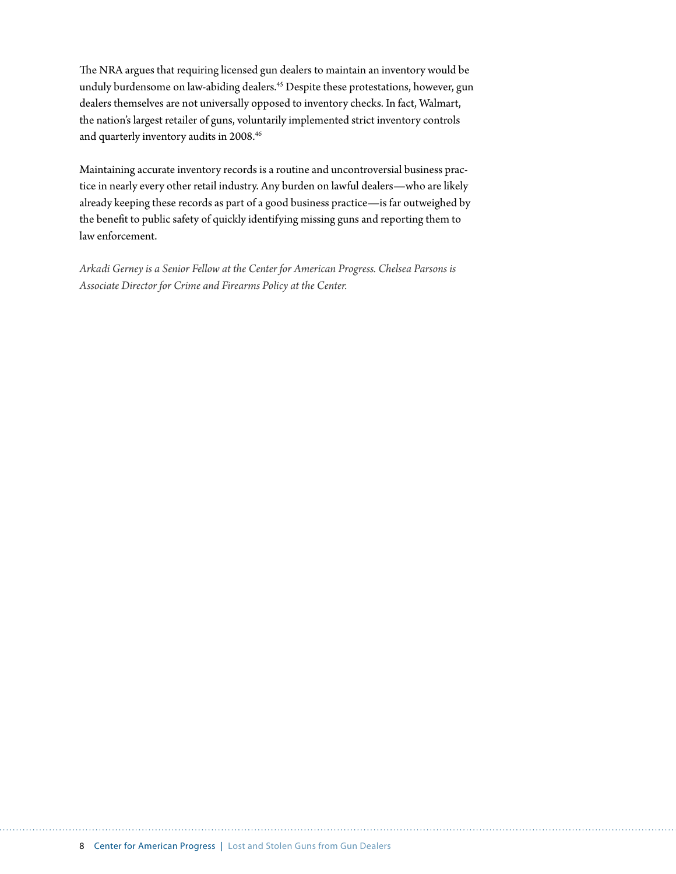The NRA argues that requiring licensed gun dealers to maintain an inventory would be unduly burdensome on law-abiding dealers.45 Despite these protestations, however, gun dealers themselves are not universally opposed to inventory checks. In fact, Walmart, the nation's largest retailer of guns, voluntarily implemented strict inventory controls and quarterly inventory audits in 2008.46

Maintaining accurate inventory records is a routine and uncontroversial business practice in nearly every other retail industry. Any burden on lawful dealers—who are likely already keeping these records as part of a good business practice—is far outweighed by the benefit to public safety of quickly identifying missing guns and reporting them to law enforcement.

*Arkadi Gerney is a Senior Fellow at the Center for American Progress. Chelsea Parsons is Associate Director for Crime and Firearms Policy at the Center.*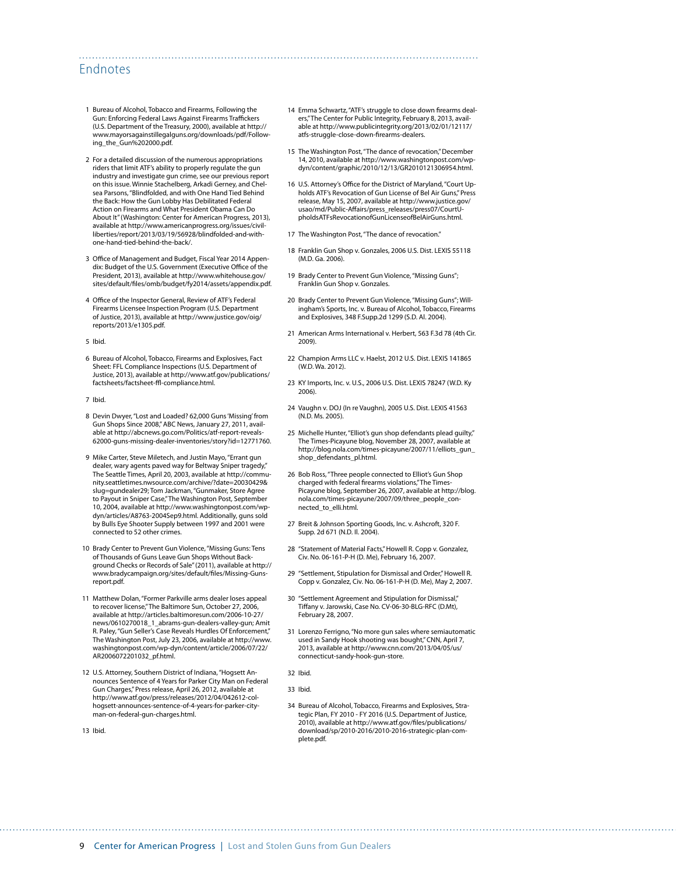#### Endnotes

- 1 Bureau of Alcohol, Tobacco and Firearms, Following the Gun: Enforcing Federal Laws Against Firearms Traffickers (U.S. Department of the Treasury, 2000), available at [http://](http://www.mayorsagainstillegalguns.org/downloads/pdf/Following_the_Gun%202000.pdf) [www.mayorsagainstillegalguns.org/downloads/pdf/Follow](http://www.mayorsagainstillegalguns.org/downloads/pdf/Following_the_Gun%202000.pdf)[ing\\_the\\_Gun%202000.pdf](http://www.mayorsagainstillegalguns.org/downloads/pdf/Following_the_Gun%202000.pdf).
- 2 For a detailed discussion of the numerous appropriations riders that limit ATF's ability to properly regulate the gun industry and investigate gun crime, see our previous report on this issue. Winnie Stachelberg, Arkadi Gerney, and Chelsea Parsons, "Blindfolded, and with One Hand Tied Behind the Back: How the Gun Lobby Has Debilitated Federal Action on Firearms and What President Obama Can Do About It" (Washington: Center for American Progress, 2013), available at [http://www.americanprogress.org/issues/civil](http://www.americanprogress.org/issues/civil-liberties/report/2013/03/19/56928/blindfolded-and-with-one-hand-tied-behind-the-back/)[liberties/report/2013/03/19/56928/blindfolded-and-with](http://www.americanprogress.org/issues/civil-liberties/report/2013/03/19/56928/blindfolded-and-with-one-hand-tied-behind-the-back/)[one-hand-tied-behind-the-back/.](http://www.americanprogress.org/issues/civil-liberties/report/2013/03/19/56928/blindfolded-and-with-one-hand-tied-behind-the-back/)
- 3 Office of Management and Budget, Fiscal Year 2014 Appendix: Budget of the U.S. Government (Executive Office of the President, 2013), available at [http://www.whitehouse.gov/](http://www.whitehouse.gov/sites/default/files/omb/budget/fy2014/assets/appendix.pdf) [sites/default/files/omb/budget/fy2014/assets/appendix.pdf.](http://www.whitehouse.gov/sites/default/files/omb/budget/fy2014/assets/appendix.pdf)
- 4 Office of the Inspector General, Review of ATF's Federal Firearms Licensee Inspection Program (U.S. Department of Justice, 2013), available at [http://www.justice.gov/oig/](http://www.justice.gov/oig/reports/2013/e1305.pdf) [reports/2013/e1305.pdf](http://www.justice.gov/oig/reports/2013/e1305.pdf).
- 5 Ibid.
- 6 Bureau of Alcohol, Tobacco, Firearms and Explosives, Fact Sheet: FFL Compliance Inspections (U.S. Department of Justice, 2013), available at [http://www.atf.gov/publications/](http://www.atf.gov/publications/factsheets/factsheet-ffl-compliance.html) [factsheets/factsheet-ffl-compliance.html.](http://www.atf.gov/publications/factsheets/factsheet-ffl-compliance.html)
- 7 Ibid.
- 8 Devin Dwyer, "Lost and Loaded? 62,000 Guns 'Missing' from Gun Shops Since 2008," ABC News, January 27, 2011, available at [http://abcnews.go.com/Politics/atf-report-reveals-](http://abcnews.go.com/Politics/atf-report-reveals-62000-guns-missing-dealer-inventories/story?id=12771760)[62000-guns-missing-dealer-inventories/story?id=12771760](http://abcnews.go.com/Politics/atf-report-reveals-62000-guns-missing-dealer-inventories/story?id=12771760).
- 9 Mike Carter, Steve Miletech, and Justin Mayo, "Errant gun dealer, wary agents paved way for Beltway Sniper tragedy," The Seattle Times, April 20, 2003, available at [http://commu](http://community.seattletimes.nwsource.com/archive/?date=20030429&slug=gundealer29)[nity.seattletimes.nwsource.com/archive/?date=20030429&](http://community.seattletimes.nwsource.com/archive/?date=20030429&slug=gundealer29) [slug=gundealer29;](http://community.seattletimes.nwsource.com/archive/?date=20030429&slug=gundealer29) Tom Jackman, "Gunmaker, Store Agree to Payout in Sniper Case," The Washington Post, September 10, 2004, available at http://www.washingtonpost.com/wpdyn/articles/A8763-2004Sep9.html. Additionally, guns sold by Bulls Eye Shooter Supply between 1997 and 2001 were connected to 52 other crimes.
- 10 Brady Center to Prevent Gun Violence, "Missing Guns: Tens of Thousands of Guns Leave Gun Shops Without Background Checks or Records of Sale" (2011), available at [http://](http://www.bradycampaign.org/sites/default/files/Missing-Guns-report.pdf) [www.bradycampaign.org/sites/default/files/Missing-Guns](http://www.bradycampaign.org/sites/default/files/Missing-Guns-report.pdf)[report.pdf](http://www.bradycampaign.org/sites/default/files/Missing-Guns-report.pdf).
- 11 Matthew Dolan, "Former Parkville arms dealer loses appeal to recover license," The Baltimore Sun, October 27, 2006, available at [http://articles.baltimoresun.com/2006-10-27/](http://articles.baltimoresun.com/2006-10-27/news/0610270018_1_abrams-gun-dealers-valley-gun) [news/0610270018\\_1\\_abrams-gun-dealers-valley-gun;](http://articles.baltimoresun.com/2006-10-27/news/0610270018_1_abrams-gun-dealers-valley-gun) Amit R. Paley, "Gun Seller's Case Reveals Hurdles Of Enforcement," The Washington Post, July 23, 2006, available at [http://www.](http://www.washingtonpost.com/wp-dyn/content/article/2006/07/22/AR2006072201032_pf.html) [washingtonpost.com/wp-dyn/content/article/2006/07/22/](http://www.washingtonpost.com/wp-dyn/content/article/2006/07/22/AR2006072201032_pf.html) [AR2006072201032\\_pf.html](http://www.washingtonpost.com/wp-dyn/content/article/2006/07/22/AR2006072201032_pf.html).
- 12 U.S. Attorney, Southern District of Indiana, "Hogsett Announces Sentence of 4 Years for Parker City Man on Federal Gun Charges," Press release, April 26, 2012, available at [http://www.atf.gov/press/releases/2012/04/042612-col](http://www.atf.gov/press/releases/2012/04/042612-col-hogsett-announces-sentence-of-4-years-for-parker-city-man-on-federal-gun-charges.html)[hogsett-announces-sentence-of-4-years-for-parker-city](http://www.atf.gov/press/releases/2012/04/042612-col-hogsett-announces-sentence-of-4-years-for-parker-city-man-on-federal-gun-charges.html)[man-on-federal-gun-charges.html](http://www.atf.gov/press/releases/2012/04/042612-col-hogsett-announces-sentence-of-4-years-for-parker-city-man-on-federal-gun-charges.html).

13 Ibid.

14 Emma Schwartz, "ATF's struggle to close down firearms dealers," The Center for Public Integrity, February 8, 2013, available at [http://www.publicintegrity.org/2013/02/01/12117/](http://www.publicintegrity.org/2013/02/01/12117/atfs-struggle-close-down-firearms-dealers) [atfs-struggle-close-down-firearms-dealers.](http://www.publicintegrity.org/2013/02/01/12117/atfs-struggle-close-down-firearms-dealers)

- 15 The Washington Post, "The dance of revocation," December 14, 2010, available at [http://www.washingtonpost.com/wp](http://www.washingtonpost.com/wp-dyn/content/graphic/2010/12/13/GR2010121306954.html)[dyn/content/graphic/2010/12/13/GR2010121306954.html](http://www.washingtonpost.com/wp-dyn/content/graphic/2010/12/13/GR2010121306954.html).
- 16 U.S. Attorney's Office for the District of Maryland, "Court Upholds ATF's Revocation of Gun License of Bel Air Guns," Press release, May 15, 2007, available at [http://www.justice.gov/](http://www.justice.gov/usao/md/Public-Affairs/press_releases/press07/CourtUpholdsATFsRevocationofGunLicenseofBelAirGuns.html) [usao/md/Public-Affairs/press\\_releases/press07/CourtU](http://www.justice.gov/usao/md/Public-Affairs/press_releases/press07/CourtUpholdsATFsRevocationofGunLicenseofBelAirGuns.html)[pholdsATFsRevocationofGunLicenseofBelAirGuns.html.](http://www.justice.gov/usao/md/Public-Affairs/press_releases/press07/CourtUpholdsATFsRevocationofGunLicenseofBelAirGuns.html)
- 17 The Washington Post, "The dance of revocation."
- 18 Franklin Gun Shop v. Gonzales, 2006 U.S. Dist. LEXIS 55118 (M.D. Ga. 2006).
- 19 Brady Center to Prevent Gun Violence, "Missing Guns"; Franklin Gun Shop v. Gonzales.
- 20 Brady Center to Prevent Gun Violence, "Missing Guns"; Willingham's Sports, Inc. v. Bureau of Alcohol, Tobacco, Firearms and Explosives, 348 F.Supp.2d 1299 (S.D. Al. 2004).
- 21 American Arms International v. Herbert, 563 F.3d 78 (4th Cir. 2009).
- 22 Champion Arms LLC v. Haelst, 2012 U.S. Dist. LEXIS 141865 (W.D. Wa. 2012).
- 23 KY Imports, Inc. v. U.S., 2006 U.S. Dist. LEXIS 78247 (W.D. Ky 2006).
- 24 Vaughn v. DOJ (In re Vaughn), 2005 U.S. Dist. LEXIS 41563 (N.D. Ms. 2005).
- 25 Michelle Hunter, "Elliot's gun shop defendants plead guilty," The Times-Picayune blog, November 28, 2007, available at [http://blog.nola.com/times-picayune/2007/11/elliots\\_gun\\_](http://blog.nola.com/times-picayune/2007/11/elliots_gun_shop_defendants_pl.html) [shop\\_defendants\\_pl.html](http://blog.nola.com/times-picayune/2007/11/elliots_gun_shop_defendants_pl.html).
- 26 Bob Ross, "Three people connected to Elliot's Gun Shop charged with federal firearms violations," The Times-Picayune blog, September 26, 2007, available at [http://blog.](http://blog.nola.com/times-picayune/2007/09/three_people_connected_to_elli.html) [nola.com/times-picayune/2007/09/three\\_people\\_con](http://blog.nola.com/times-picayune/2007/09/three_people_connected_to_elli.html)[nected\\_to\\_elli.html](http://blog.nola.com/times-picayune/2007/09/three_people_connected_to_elli.html).
- 27 Breit & Johnson Sporting Goods, Inc. v. Ashcroft, 320 F. Supp. 2d 671 (N.D. Il. 2004).
- 28 "Statement of Material Facts," Howell R. Copp v. Gonzalez, Civ. No. 06-161-P-H (D. Me), February 16, 2007.
- 29 "Settlement, Stipulation for Dismissal and Order," Howell R. Copp v. Gonzalez, Civ. No. 06-161-P-H (D. Me), May 2, 2007.
- 30 "Settlement Agreement and Stipulation for Dismissal," Tiffany v. Jarowski, Case No. CV-06-30-BLG-RFC (D.Mt), February 28, 2007.
- 31 Lorenzo Ferrigno, "No more gun sales where semiautomatic used in Sandy Hook shooting was bought," CNN, April 7, 2013, available at [http://www.cnn.com/2013/04/05/us/](http://www.cnn.com/2013/04/05/us/connecticut-sandy-hook-gun-store) [connecticut-sandy-hook-gun-store](http://www.cnn.com/2013/04/05/us/connecticut-sandy-hook-gun-store).
- 32 Ibid.

34 Bureau of Alcohol, Tobacco, Firearms and Explosives, Strategic Plan, FY 2010 - FY 2016 (U.S. Department of Justice, 2010), available at [http://www.atf.gov/files/publications/](http://www.atf.gov/files/publications/download/sp/2010-2016/2010-2016-strategic-plan-complete.pdf) [download/sp/2010-2016/2010-2016-strategic-plan-com](http://www.atf.gov/files/publications/download/sp/2010-2016/2010-2016-strategic-plan-complete.pdf)[plete.pdf](http://www.atf.gov/files/publications/download/sp/2010-2016/2010-2016-strategic-plan-complete.pdf).

<sup>33</sup> Ibid.